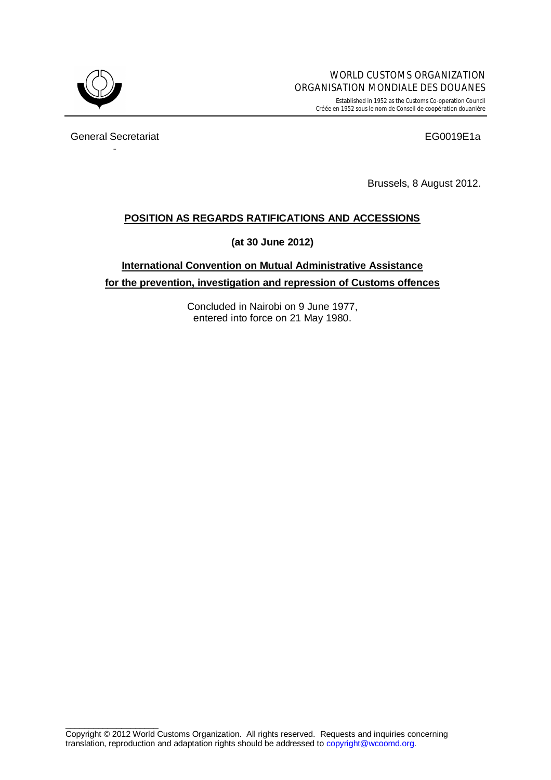

Established in 1952 as the Customs Co-operation Council Créée en 1952 sous le nom de Conseil de coopération douanière

General Secretariat **EG0019E1a** -

Brussels, 8 August 2012.

## **POSITION AS REGARDS RATIFICATIONS AND ACCESSIONS**

**(at 30 June 2012)**

**International Convention on Mutual Administrative Assistance for the prevention, investigation and repression of Customs offences**

> Concluded in Nairobi on 9 June 1977, entered into force on 21 May 1980.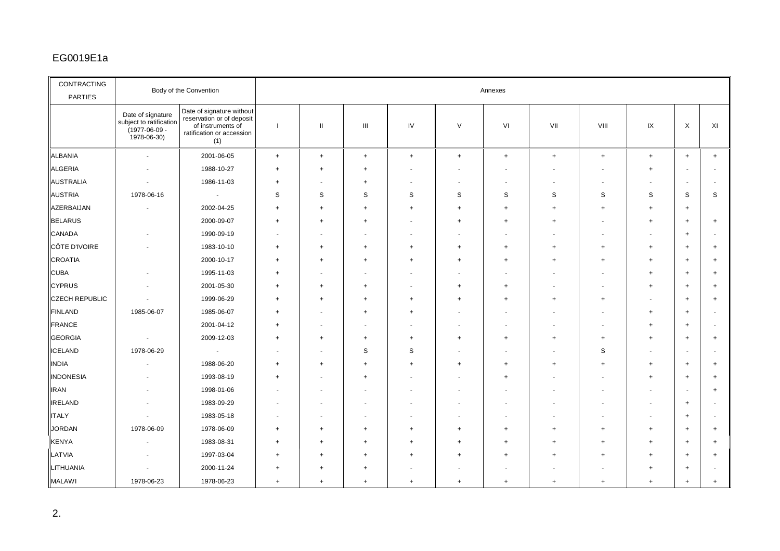## EG001 9E1a

| CONTRACTING<br><b>PARTIES</b> | Body of the Convention                                                             |                                                                                                                 | Annexes        |                          |                |                          |                |           |           |                |                                  |                |           |
|-------------------------------|------------------------------------------------------------------------------------|-----------------------------------------------------------------------------------------------------------------|----------------|--------------------------|----------------|--------------------------|----------------|-----------|-----------|----------------|----------------------------------|----------------|-----------|
|                               | Date of signature<br>subject to ratification<br>$(1977 - 06 - 09 -$<br>1978-06-30) | Date of signature without<br>reservation or of deposit<br>of instruments of<br>ratification or accession<br>(1) | $\mathbf{I}$   | $\mathbf{H}$             | Ш              | IV                       | $\vee$         | VI        | VII       | VIII           | IX                               | X              | XI        |
| ALBANIA                       | $\sim$                                                                             | 2001-06-05                                                                                                      | $+$            | $\ddot{}$                | $+$            | $^{+}$                   | $+$            | $+$       | $\ddot{}$ | $\ddot{}$      | $\begin{array}{c} + \end{array}$ | $+$            | $+$       |
| <b>ALGERIA</b>                |                                                                                    | 1988-10-27                                                                                                      | $\ddot{}$      | $\ddot{}$                | $\overline{1}$ |                          |                |           |           |                | $\overline{1}$                   |                |           |
| <b>AUSTRALIA</b>              |                                                                                    | 1986-11-03                                                                                                      | $\ddot{}$      |                          | $\ddot{}$      | $\blacksquare$           |                |           |           |                |                                  |                |           |
| <b>AUSTRIA</b>                | 1978-06-16                                                                         | $\sim$                                                                                                          | S              | S                        | S              | S                        | S              | S         | S         | S              | S                                | S              | S         |
| AZERBAIJAN                    |                                                                                    | 2002-04-25                                                                                                      | $\ddot{}$      | $^{+}$                   | $^{+}$         | $\ddot{}$                | $\ddot{}$      | $^{+}$    | $\ddot{}$ | $^{+}$         | $\ddot{}$                        | $\overline{+}$ |           |
| <b>BELARUS</b>                |                                                                                    | 2000-09-07                                                                                                      | $\ddot{}$      | $^{+}$                   | $\overline{1}$ | $\overline{\phantom{a}}$ | +              | $\ddot{}$ | ÷         |                | $\overline{1}$                   | $\ddot{}$      | $\ddot{}$ |
| CANADA                        |                                                                                    | 1990-09-19                                                                                                      |                |                          |                | $\overline{\phantom{a}}$ |                |           |           |                |                                  | $\overline{+}$ |           |
| CÔTE D'IVOIRE                 |                                                                                    | 1983-10-10                                                                                                      | $\ddot{}$      | $^{+}$                   | $\ddot{}$      | $\ddot{}$                | $\ddot{}$      | $\ddot{}$ | ÷.        | $\overline{1}$ | $\ddot{}$                        | $\ddot{}$      |           |
| <b>CROATIA</b>                |                                                                                    | 2000-10-17                                                                                                      | ÷              | $\ddot{}$                | $\ddot{}$      | $^{+}$                   |                | $\ddot{}$ | ÷         |                | $\overline{1}$                   | $\overline{+}$ |           |
| <b>CUBA</b>                   |                                                                                    | 1995-11-03                                                                                                      | $\div$         | $\overline{\phantom{a}}$ |                | $\overline{\phantom{a}}$ |                |           |           |                | $+$                              | $\overline{+}$ |           |
| <b>CYPRUS</b>                 |                                                                                    | 2001-05-30                                                                                                      | ÷.             | $^{+}$                   | $^{+}$         |                          | $\ddot{}$      | $\ddot{}$ |           |                | $\overline{1}$                   | $\overline{+}$ |           |
| <b>CZECH REPUBLIC</b>         |                                                                                    | 1999-06-29                                                                                                      | $\ddot{}$      | $\ddot{}$                | $\ddot{}$      | $\ddot{}$                |                | $\ddot{}$ | $\ddot{}$ | $^{+}$         |                                  | $+$            |           |
| <b>FINLAND</b>                | 1985-06-07                                                                         | 1985-06-07                                                                                                      | ÷.             |                          | $\overline{ }$ | $\ddot{}$                |                |           |           |                | $+$                              | $\overline{ }$ |           |
| <b>FRANCE</b>                 |                                                                                    | 2001-04-12                                                                                                      | ÷              |                          |                |                          |                |           |           |                | $\overline{1}$                   | $\overline{ }$ |           |
| <b>GEORGIA</b>                | $\overline{\phantom{a}}$                                                           | 2009-12-03                                                                                                      | $\ddot{}$      | $^{+}$                   | $\overline{+}$ | $\left. +\right.$        | $\overline{+}$ | $\ddot{}$ | $\ddot{}$ | $\ddot{}$      | $\ddot{}$                        | $+$            |           |
| <b>ICELAND</b>                | 1978-06-29                                                                         | $\sim$                                                                                                          |                |                          | S              | S                        |                |           |           | S              |                                  |                |           |
| <b>INDIA</b>                  |                                                                                    | 1988-06-20                                                                                                      | ÷.             | $+$                      | $\ddot{}$      | $\ddot{}$                | $\overline{+}$ | $\ddot{}$ | $\ddot{}$ | $\overline{ }$ | $\ddot{}$                        | $\ddot{}$      | ÷         |
| <b>INDONESIA</b>              |                                                                                    | 1993-08-19                                                                                                      | $\ddot{}$      |                          | $^{+}$         |                          |                | $\ddot{}$ |           |                | $\ddot{}$                        | $\ddot{}$      |           |
| <b>IRAN</b>                   |                                                                                    | 1998-01-06                                                                                                      |                |                          |                |                          |                |           |           |                |                                  |                |           |
| <b>IRELAND</b>                |                                                                                    | 1983-09-29                                                                                                      |                |                          |                |                          |                |           |           |                |                                  | $\overline{+}$ |           |
| <b>ITALY</b>                  |                                                                                    | 1983-05-18                                                                                                      |                |                          |                |                          |                |           |           |                |                                  | $\ddot{}$      |           |
| <b>JORDAN</b>                 | 1978-06-09                                                                         | 1978-06-09                                                                                                      | $\ddot{}$      | $^{+}$                   | $^{+}$         | $\ddot{}$                |                | $\ddot{}$ | ÷         | $\overline{1}$ | $\ddot{}$                        | $\overline{ }$ |           |
| <b>KENYA</b>                  |                                                                                    | 1983-08-31                                                                                                      | ÷.             | $\ddot{}$                |                | $+$                      |                |           |           |                | $\overline{1}$                   | $\overline{+}$ |           |
| LATVIA                        |                                                                                    | 1997-03-04                                                                                                      | $\overline{1}$ | $\overline{ }$           |                | $\ddot{}$                |                |           |           |                | $\overline{1}$                   | $\overline{+}$ |           |
| LITHUANIA                     |                                                                                    | 2000-11-24                                                                                                      | $\ddot{}$      | $\overline{1}$           |                |                          |                |           |           |                |                                  | $\overline{ }$ |           |
| <b>MALAWI</b>                 | 1978-06-23                                                                         | 1978-06-23                                                                                                      | $+$            | $\ddot{}$                | $\ddot{}$      | $\ddot{}$                | $+$            | $\ddot{}$ | $\ddot{}$ | $\ddot{}$      | $\ddot{}$                        | $\ddot{}$      |           |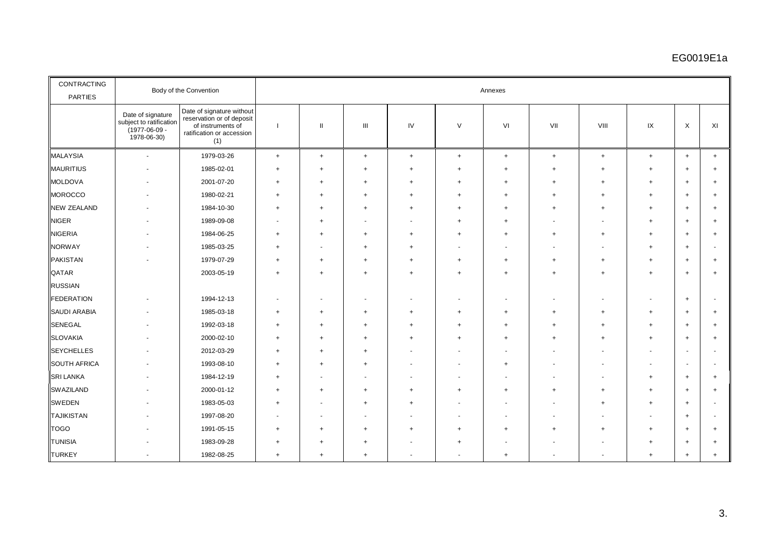## EG0019E1a

| CONTRACTING<br><b>PARTIES</b> | Body of the Convention                                                                  |                                                                                                                 | Annexes                  |                          |                                  |                |           |                |                          |           |           |           |           |
|-------------------------------|-----------------------------------------------------------------------------------------|-----------------------------------------------------------------------------------------------------------------|--------------------------|--------------------------|----------------------------------|----------------|-----------|----------------|--------------------------|-----------|-----------|-----------|-----------|
|                               | Date of signature<br>subject to ratification<br>$(1977 - 06 - 09 -$<br>$1978 - 06 - 30$ | Date of signature without<br>reservation or of deposit<br>of instruments of<br>ratification or accession<br>(1) |                          | $\mathbf{H}$             | $\mathbf{III}$                   | IV             | $\vee$    | VI             | VII                      | VIII      | IX        | X         | XI        |
| <b>MALAYSIA</b>               | ä,                                                                                      | 1979-03-26                                                                                                      | $+$                      | $+$                      | $+$                              | $\ddot{}$      | $\ddot{}$ | $+$            | $+$                      | $\ddot{}$ | $\ddot{}$ | $+$       | $+$       |
| <b>MAURITIUS</b>              |                                                                                         | 1985-02-01                                                                                                      | $\overline{+}$           | $\ddot{}$                | $\ddot{}$                        | $\ddot{}$      | $\ddot{}$ | $\overline{+}$ | $\ddot{}$                | $\ddot{}$ | $+$       | $+$       | $+$       |
| <b>MOLDOVA</b>                |                                                                                         | 2001-07-20                                                                                                      | $\ddot{}$                | $\ddot{}$                | $\ddot{}$                        | $\ddot{}$      | $\ddot{}$ | $\overline{+}$ | $+$                      | $\ddot{}$ | $+$       | $\ddot{}$ | $+$       |
| <b>MOROCCO</b>                |                                                                                         | 1980-02-21                                                                                                      | $+$                      | $+$                      | $\ddot{}$                        | $\ddot{}$      | $\ddot{}$ | $\overline{+}$ | $+$                      | $\ddot{}$ | $+$       | $\ddot{}$ | $+$       |
| <b>NEW ZEALAND</b>            |                                                                                         | 1984-10-30                                                                                                      | $\ddot{}$                | $\ddot{}$                | $\ddot{}$                        | $\ddot{}$      | $\ddot{}$ | $\ddot{}$      | $+$                      | $\ddot{}$ | $+$       | $\ddot{}$ | $+$       |
| <b>NIGER</b>                  |                                                                                         | 1989-09-08                                                                                                      | $\overline{\phantom{a}}$ | $\ddot{}$                | $\overline{\phantom{a}}$         |                | $\ddot{}$ | $\ddot{}$      | $\overline{\phantom{a}}$ |           | $\ddot{}$ | $+$       | $+$       |
| <b>NIGERIA</b>                |                                                                                         | 1984-06-25                                                                                                      | $+$                      | $\ddot{}$                | $\ddot{}$                        | $^{+}$         | $\ddot{}$ | $\ddot{}$      | $+$                      | $\ddot{}$ | $\ddot{}$ | $+$       | $+$       |
| <b>NORWAY</b>                 |                                                                                         | 1985-03-25                                                                                                      | $\ddot{}$                | ٠                        | $\overline{+}$                   | $\div$         |           |                |                          |           | $^{+}$    | $+$       |           |
| <b>PAKISTAN</b>               |                                                                                         | 1979-07-29                                                                                                      | $+$                      | $\ddot{}$                | $\ddot{}$                        | $^{+}$         | $\ddot{}$ | $\ddot{}$      | $+$                      | $\ddot{}$ | $\ddot{}$ | $\ddot{}$ | $+$       |
| <b>QATAR</b>                  |                                                                                         | 2003-05-19                                                                                                      | $\ddot{}$                | $\ddot{}$                | $\ddot{}$                        | $\overline{+}$ | $\ddot{}$ | $\ddot{}$      | $+$                      | $\ddot{}$ | $\ddot{}$ | $\ddot{}$ | $+$       |
| <b>RUSSIAN</b>                |                                                                                         |                                                                                                                 |                          |                          |                                  |                |           |                |                          |           |           |           |           |
| <b>FEDERATION</b>             |                                                                                         | 1994-12-13                                                                                                      |                          |                          |                                  |                |           |                |                          |           |           | $\ddot{}$ |           |
| <b>SAUDI ARABIA</b>           |                                                                                         | 1985-03-18                                                                                                      | $\overline{+}$           | $\ddot{}$                | $^{+}$                           | $\ddot{}$      | $\ddot{}$ | $\ddot{}$      | $\ddot{}$                | $\ddot{}$ | $+$       | $+$       | $^{+}$    |
| <b>SENEGAL</b>                |                                                                                         | 1992-03-18                                                                                                      | $+$                      | $\ddot{}$                | $^{+}$                           | $\overline{+}$ | $\ddot{}$ | $\ddot{}$      | $+$                      | $\div$    | $\ddot{}$ | $\ddot{}$ | $^{+}$    |
| <b>SLOVAKIA</b>               |                                                                                         | 2000-02-10                                                                                                      | $\ddot{}$                | $\ddot{}$                | $\overline{+}$                   | $\ddot{}$      | $\ddot{}$ | $\ddot{}$      | $+$                      | $\pm$     | $\ddot{}$ | $+$       | $+$       |
| <b>SEYCHELLES</b>             |                                                                                         | 2012-03-29                                                                                                      | $\overline{+}$           | $\ddot{}$                | $\overline{+}$                   |                |           |                |                          |           |           |           |           |
| <b>SOUTH AFRICA</b>           |                                                                                         | 1993-08-10                                                                                                      | $\ddot{}$                | $\ddot{}$                | $^{+}$                           |                |           | $\overline{1}$ |                          |           |           |           |           |
| <b>SRI LANKA</b>              |                                                                                         | 1984-12-19                                                                                                      | $\ddot{}$                | $\blacksquare$           | $\overline{\phantom{a}}$         |                |           |                | $\ddot{\phantom{1}}$     |           | $\ddot{}$ | $+$       | $\ddot{}$ |
| <b>SWAZILAND</b>              |                                                                                         | 2000-01-12                                                                                                      | $+$                      | $\ddot{}$                | $^{+}$                           | $^{+}$         | $\ddot{}$ | $\ddot{}$      | $+$                      | $\ddot{}$ | $^{+}$    | $+$       | $+$       |
| <b>SWEDEN</b>                 |                                                                                         | 1983-05-03                                                                                                      | $+$                      |                          | $\ddot{}$                        | $\ddot{}$      |           |                |                          | $\div$    | $+$       | $+$       |           |
| <b>TAJIKISTAN</b>             |                                                                                         | 1997-08-20                                                                                                      | $\overline{\phantom{a}}$ | $\overline{\phantom{a}}$ | $\overline{\phantom{a}}$         |                |           |                |                          |           |           | $+$       |           |
| <b>TOGO</b>                   |                                                                                         | 1991-05-15                                                                                                      | $+$                      | $\ddot{}$                | $\ddot{}$                        | $\ddot{}$      | $\ddot{}$ | $\ddot{}$      | $\ddot{}$                | $\div$    | $+$       | $+$       | $+$       |
| <b>TUNISIA</b>                |                                                                                         | 1983-09-28                                                                                                      | $\ddot{}$                | $\div$                   | $^{+}$                           |                | $\ddot{}$ |                |                          |           | $+$       | $+$       | $+$       |
| <b>TURKEY</b>                 |                                                                                         | 1982-08-25                                                                                                      | $+$                      | $\ddot{}$                | $\begin{array}{c} + \end{array}$ |                |           | $\overline{+}$ |                          |           | $\ddot{}$ | $\ddot{}$ | $+$       |